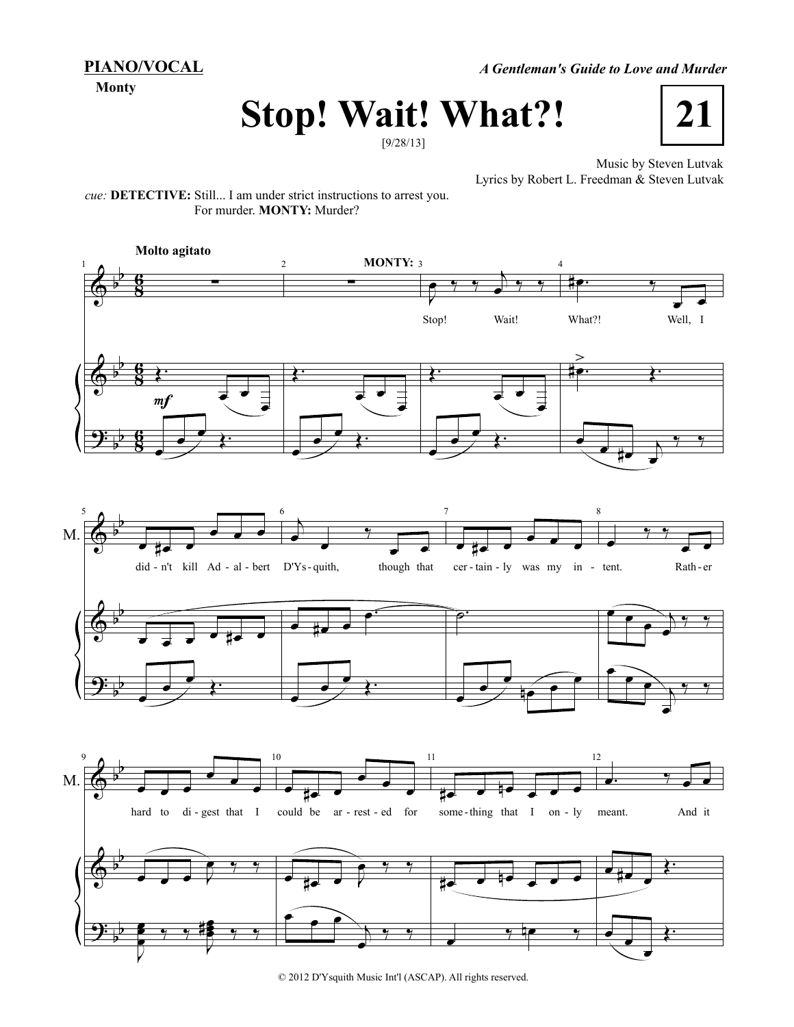**PIANO/VOCAL**

**Monty**

*A Gentleman's Guide to Love and Murder*

## **Stop! Wait! What?!**

[9/28/13]



Music by Steven Lutvak Lyrics by Robert L. Freedman & Steven Lutvak

*cue:* **DETECTIVE:** Still... I am under strict instructions to arrest you. For murder. **MONTY:** Murder?



© 2012 D'Ysquith Music Int'l (ASCAP). All rights reserved.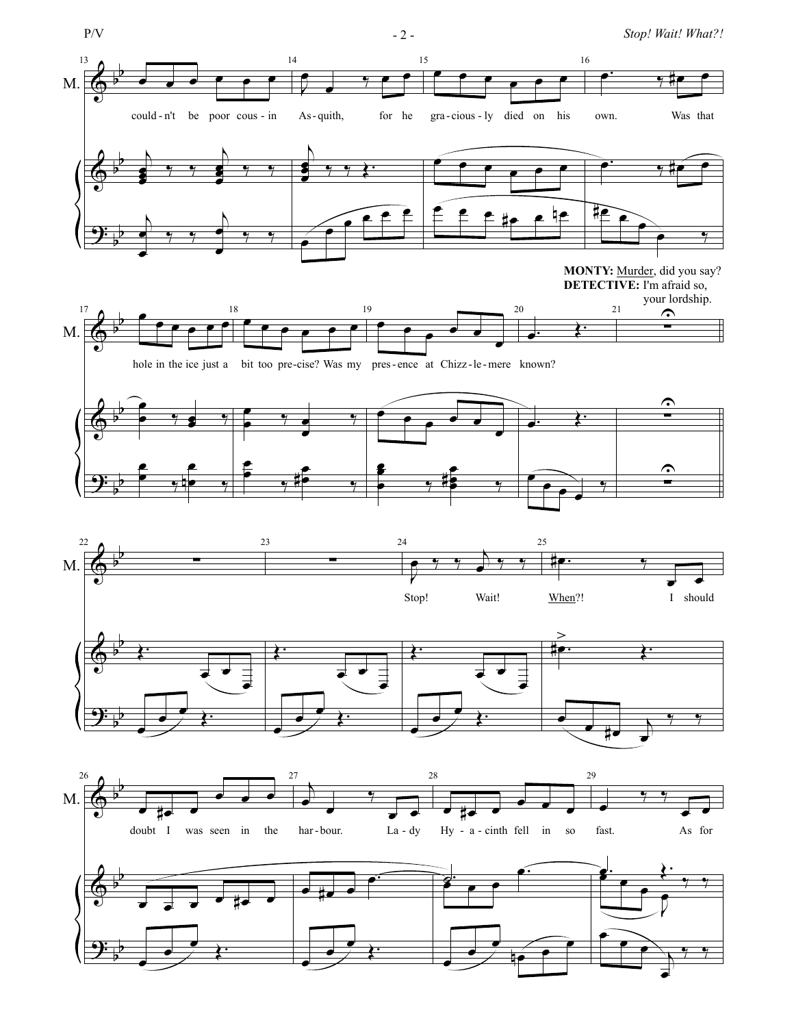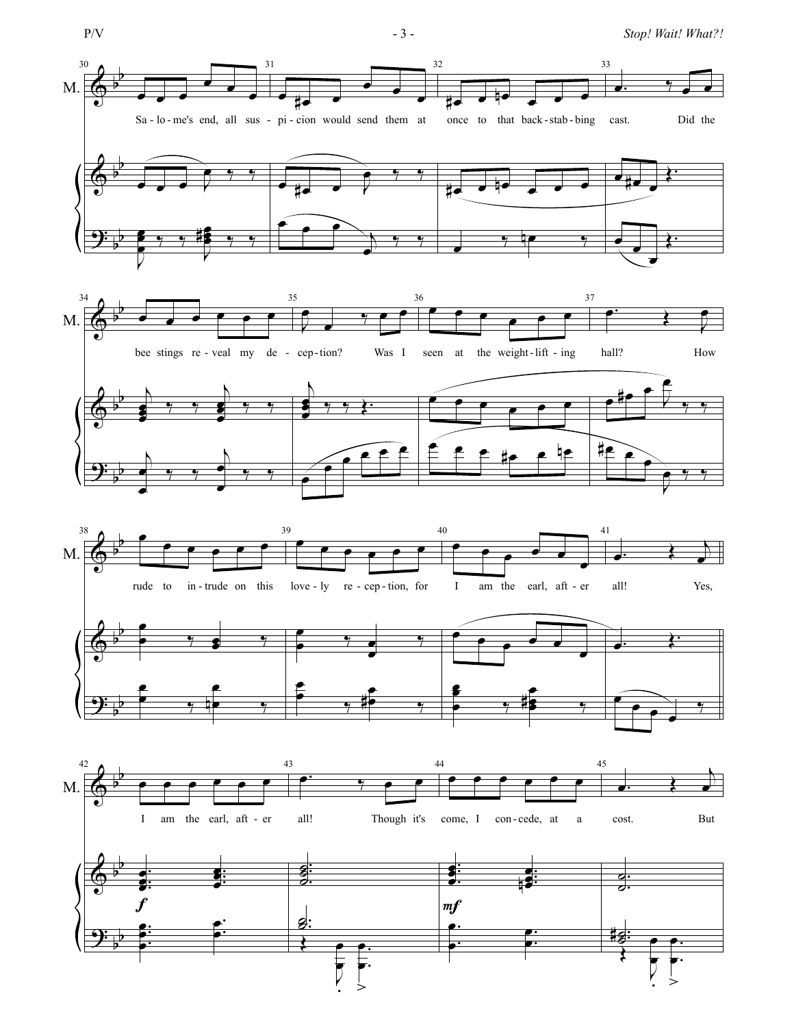$$
P/V\\
$$

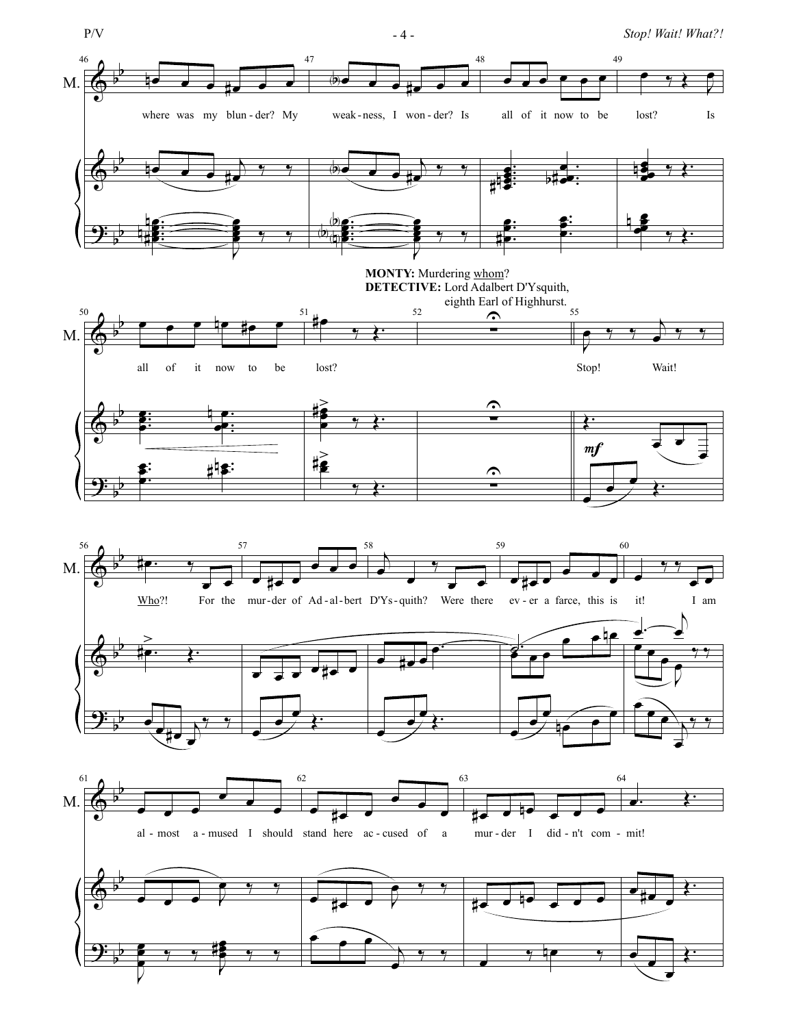

P/V - 4 - *Stop! Wait! What?!*